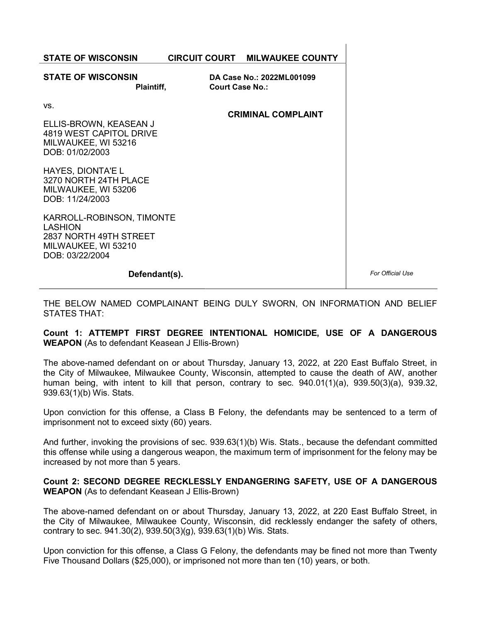| <b>STATE OF WISCONSIN</b>                                                                                         |                        | <b>CIRCUIT COURT MILWAUKEE COUNTY</b> |
|-------------------------------------------------------------------------------------------------------------------|------------------------|---------------------------------------|
| <b>STATE OF WISCONSIN</b><br><b>Plaintiff,</b>                                                                    | <b>Court Case No.:</b> | DA Case No.: 2022ML001099             |
| VS.<br>ELLIS-BROWN, KEASEAN J<br>4819 WEST CAPITOL DRIVE<br>MILWAUKEE, WI 53216<br>DOB: 01/02/2003                |                        | <b>CRIMINAL COMPLAINT</b>             |
| HAYES, DIONTA'E L<br>3270 NORTH 24TH PLACE<br>MILWAUKEE, WI 53206<br>DOB: 11/24/2003<br>KARROLL-ROBINSON, TIMONTE |                        |                                       |
| <b>LASHION</b><br>2837 NORTH 49TH STREET<br>MILWAUKEE, WI 53210<br>DOB: 03/22/2004                                |                        |                                       |
| Defendant(s).                                                                                                     |                        |                                       |

THE BELOW NAMED COMPLAINANT BEING DULY SWORN, ON INFORMATION AND BELIEF STATES THAT:

Count 1: ATTEMPT FIRST DEGREE INTENTIONAL HOMICIDE, USE OF A DANGEROUS WEAPON (As to defendant Keasean J Ellis-Brown)

The above-named defendant on or about Thursday, January 13, 2022, at 220 East Buffalo Street, in the City of Milwaukee, Milwaukee County, Wisconsin, attempted to cause the death of AW, another human being, with intent to kill that person, contrary to sec. 940.01(1)(a), 939.50(3)(a), 939.32, 939.63(1)(b) Wis. Stats.

Upon conviction for this offense, a Class B Felony, the defendants may be sentenced to a term of imprisonment not to exceed sixty (60) years.

And further, invoking the provisions of sec. 939.63(1)(b) Wis. Stats., because the defendant committed this offense while using a dangerous weapon, the maximum term of imprisonment for the felony may be increased by not more than 5 years.

Count 2: SECOND DEGREE RECKLESSLY ENDANGERING SAFETY, USE OF A DANGEROUS WEAPON (As to defendant Keasean J Ellis-Brown)

The above-named defendant on or about Thursday, January 13, 2022, at 220 East Buffalo Street, in the City of Milwaukee, Milwaukee County, Wisconsin, did recklessly endanger the safety of others, contrary to sec. 941.30(2), 939.50(3)(g), 939.63(1)(b) Wis. Stats.

Upon conviction for this offense, a Class G Felony, the defendants may be fined not more than Twenty Five Thousand Dollars (\$25,000), or imprisoned not more than ten (10) years, or both.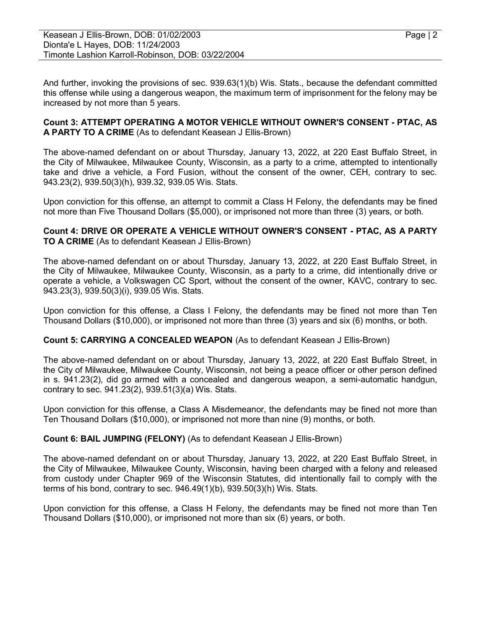And further, invoking the provisions of sec. 939.63(1)(b) Wis. Stats., because the defendant committed this offense while using a dangerous weapon, the maximum term of imprisonment for the felony may be increased by not more than 5 years.

#### Count 3: ATTEMPT OPERATING A MOTOR VEHICLE WITHOUT OWNER'S CONSENT - PTAC, AS A PARTY TO A CRIME (As to defendant Keasean J Ellis-Brown)

The above-named defendant on or about Thursday, January 13, 2022, at 220 East Buffalo Street, in the City of Milwaukee, Milwaukee County, Wisconsin, as a party to a crime, attempted to intentionally take and drive a vehicle, a Ford Fusion, without the consent of the owner, CEH, contrary to sec. 943.23(2), 939.50(3)(h), 939.32, 939.05 Wis. Stats.

Upon conviction for this offense, an attempt to commit a Class H Felony, the defendants may be fined not more than Five Thousand Dollars (\$5,000), or imprisoned not more than three (3) years, or both.

### Count 4: DRIVE OR OPERATE A VEHICLE WITHOUT OWNER'S CONSENT - PTAC, AS A PARTY TO A CRIME (As to defendant Keasean J Ellis-Brown)

The above-named defendant on or about Thursday, January 13, 2022, at 220 East Buffalo Street, in the City of Milwaukee, Milwaukee County, Wisconsin, as a party to a crime, did intentionally drive or operate a vehicle, a Volkswagen CC Sport, without the consent of the owner, KAVC, contrary to sec. 943.23(3), 939.50(3)(i), 939.05 Wis. Stats.

Upon conviction for this offense, a Class I Felony, the defendants may be fined not more than Ten Thousand Dollars (\$10,000), or imprisoned not more than three (3) years and six (6) months, or both.

# Count 5: CARRYING A CONCEALED WEAPON (As to defendant Keasean J Ellis-Brown)

The above-named defendant on or about Thursday, January 13, 2022, at 220 East Buffalo Street, in the City of Milwaukee, Milwaukee County, Wisconsin, not being a peace officer or other person defined in s. 941.23(2), did go armed with a concealed and dangerous weapon, a semi-automatic handgun, contrary to sec. 941.23(2), 939.51(3)(a) Wis. Stats.

Upon conviction for this offense, a Class A Misdemeanor, the defendants may be fined not more than Ten Thousand Dollars (\$10,000), or imprisoned not more than nine (9) months, or both.

# Count 6: BAIL JUMPING (FELONY) (As to defendant Keasean J Ellis-Brown)

The above-named defendant on or about Thursday, January 13, 2022, at 220 East Buffalo Street, in the City of Milwaukee, Milwaukee County, Wisconsin, having been charged with a felony and released from custody under Chapter 969 of the Wisconsin Statutes, did intentionally fail to comply with the terms of his bond, contrary to sec. 946.49(1)(b), 939.50(3)(h) Wis. Stats.

Upon conviction for this offense, a Class H Felony, the defendants may be fined not more than Ten Thousand Dollars (\$10,000), or imprisoned not more than six (6) years, or both.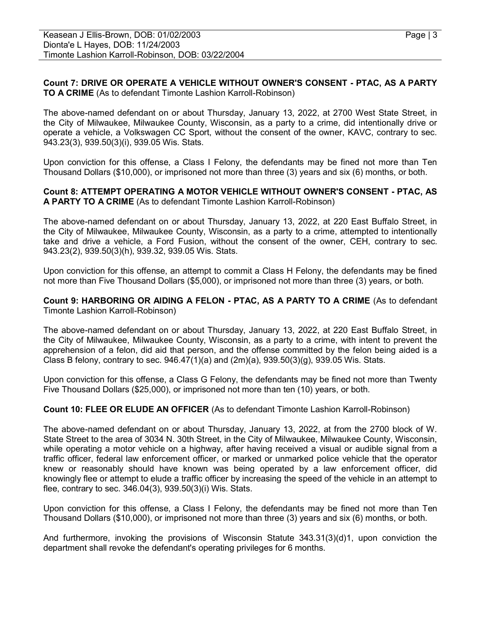#### Count 7: DRIVE OR OPERATE A VEHICLE WITHOUT OWNER'S CONSENT - PTAC, AS A PARTY TO A CRIME (As to defendant Timonte Lashion Karroll-Robinson)

The above-named defendant on or about Thursday, January 13, 2022, at 2700 West State Street, in the City of Milwaukee, Milwaukee County, Wisconsin, as a party to a crime, did intentionally drive or operate a vehicle, a Volkswagen CC Sport, without the consent of the owner, KAVC, contrary to sec. 943.23(3), 939.50(3)(i), 939.05 Wis. Stats.

Upon conviction for this offense, a Class I Felony, the defendants may be fined not more than Ten Thousand Dollars (\$10,000), or imprisoned not more than three (3) years and six (6) months, or both.

#### Count 8: ATTEMPT OPERATING A MOTOR VEHICLE WITHOUT OWNER'S CONSENT - PTAC, AS A PARTY TO A CRIME (As to defendant Timonte Lashion Karroll-Robinson)

The above-named defendant on or about Thursday, January 13, 2022, at 220 East Buffalo Street, in the City of Milwaukee, Milwaukee County, Wisconsin, as a party to a crime, attempted to intentionally take and drive a vehicle, a Ford Fusion, without the consent of the owner, CEH, contrary to sec. 943.23(2), 939.50(3)(h), 939.32, 939.05 Wis. Stats.

Upon conviction for this offense, an attempt to commit a Class H Felony, the defendants may be fined not more than Five Thousand Dollars (\$5,000), or imprisoned not more than three (3) years, or both.

Count 9: HARBORING OR AIDING A FELON - PTAC, AS A PARTY TO A CRIME (As to defendant Timonte Lashion Karroll-Robinson)

The above-named defendant on or about Thursday, January 13, 2022, at 220 East Buffalo Street, in the City of Milwaukee, Milwaukee County, Wisconsin, as a party to a crime, with intent to prevent the apprehension of a felon, did aid that person, and the offense committed by the felon being aided is a Class B felony, contrary to sec.  $946.47(1)(a)$  and  $(2m)(a)$ ,  $939.50(3)(a)$ ,  $939.05$  Wis. Stats.

Upon conviction for this offense, a Class G Felony, the defendants may be fined not more than Twenty Five Thousand Dollars (\$25,000), or imprisoned not more than ten (10) years, or both.

#### Count 10: FLEE OR ELUDE AN OFFICER (As to defendant Timonte Lashion Karroll-Robinson)

The above-named defendant on or about Thursday, January 13, 2022, at from the 2700 block of W. State Street to the area of 3034 N. 30th Street, in the City of Milwaukee, Milwaukee County, Wisconsin, while operating a motor vehicle on a highway, after having received a visual or audible signal from a traffic officer, federal law enforcement officer, or marked or unmarked police vehicle that the operator knew or reasonably should have known was being operated by a law enforcement officer, did knowingly flee or attempt to elude a traffic officer by increasing the speed of the vehicle in an attempt to flee, contrary to sec. 346.04(3), 939.50(3)(i) Wis. Stats.

Upon conviction for this offense, a Class I Felony, the defendants may be fined not more than Ten Thousand Dollars (\$10,000), or imprisoned not more than three (3) years and six (6) months, or both.

And furthermore, invoking the provisions of Wisconsin Statute 343.31(3)(d)1, upon conviction the department shall revoke the defendant's operating privileges for 6 months.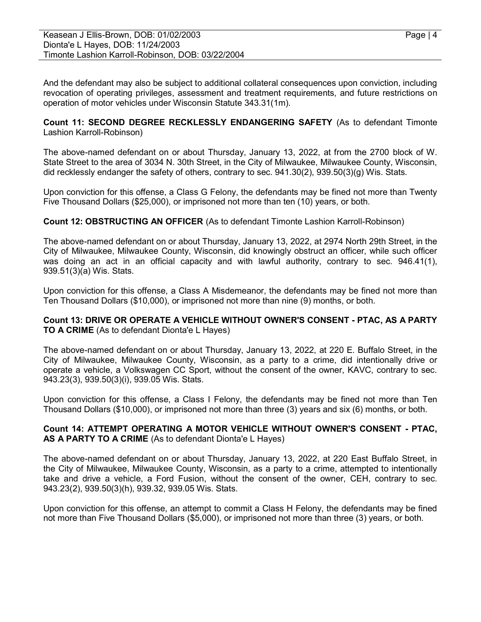And the defendant may also be subject to additional collateral consequences upon conviction, including revocation of operating privileges, assessment and treatment requirements, and future restrictions on operation of motor vehicles under Wisconsin Statute 343.31(1m).

Count 11: SECOND DEGREE RECKLESSLY ENDANGERING SAFETY (As to defendant Timonte Lashion Karroll-Robinson)

The above-named defendant on or about Thursday, January 13, 2022, at from the 2700 block of W. State Street to the area of 3034 N. 30th Street, in the City of Milwaukee, Milwaukee County, Wisconsin, did recklessly endanger the safety of others, contrary to sec. 941.30(2), 939.50(3)(g) Wis. Stats.

Upon conviction for this offense, a Class G Felony, the defendants may be fined not more than Twenty Five Thousand Dollars (\$25,000), or imprisoned not more than ten (10) years, or both.

Count 12: OBSTRUCTING AN OFFICER (As to defendant Timonte Lashion Karroll-Robinson)

The above-named defendant on or about Thursday, January 13, 2022, at 2974 North 29th Street, in the City of Milwaukee, Milwaukee County, Wisconsin, did knowingly obstruct an officer, while such officer was doing an act in an official capacity and with lawful authority, contrary to sec. 946.41(1), 939.51(3)(a) Wis. Stats.

Upon conviction for this offense, a Class A Misdemeanor, the defendants may be fined not more than Ten Thousand Dollars (\$10,000), or imprisoned not more than nine (9) months, or both.

#### Count 13: DRIVE OR OPERATE A VEHICLE WITHOUT OWNER'S CONSENT - PTAC, AS A PARTY TO A CRIME (As to defendant Dionta'e L Hayes)

The above-named defendant on or about Thursday, January 13, 2022, at 220 E. Buffalo Street, in the City of Milwaukee, Milwaukee County, Wisconsin, as a party to a crime, did intentionally drive or operate a vehicle, a Volkswagen CC Sport, without the consent of the owner, KAVC, contrary to sec. 943.23(3), 939.50(3)(i), 939.05 Wis. Stats.

Upon conviction for this offense, a Class I Felony, the defendants may be fined not more than Ten Thousand Dollars (\$10,000), or imprisoned not more than three (3) years and six (6) months, or both.

# Count 14: ATTEMPT OPERATING A MOTOR VEHICLE WITHOUT OWNER'S CONSENT - PTAC, AS A PARTY TO A CRIME (As to defendant Dionta'e L Hayes)

The above-named defendant on or about Thursday, January 13, 2022, at 220 East Buffalo Street, in the City of Milwaukee, Milwaukee County, Wisconsin, as a party to a crime, attempted to intentionally take and drive a vehicle, a Ford Fusion, without the consent of the owner, CEH, contrary to sec. 943.23(2), 939.50(3)(h), 939.32, 939.05 Wis. Stats.

Upon conviction for this offense, an attempt to commit a Class H Felony, the defendants may be fined not more than Five Thousand Dollars (\$5,000), or imprisoned not more than three (3) years, or both.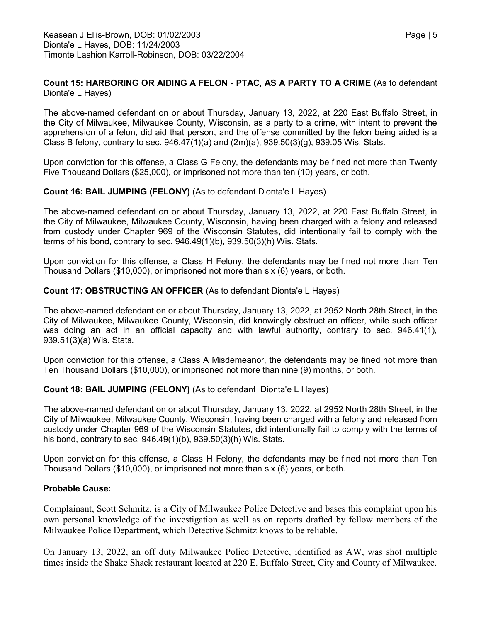# Count 15: HARBORING OR AIDING A FELON - PTAC, AS A PARTY TO A CRIME (As to defendant Dionta'e L Hayes)

The above-named defendant on or about Thursday, January 13, 2022, at 220 East Buffalo Street, in the City of Milwaukee, Milwaukee County, Wisconsin, as a party to a crime, with intent to prevent the apprehension of a felon, did aid that person, and the offense committed by the felon being aided is a Class B felony, contrary to sec.  $946.47(1)(a)$  and  $(2m)(a)$ ,  $939.50(3)(g)$ ,  $939.05$  Wis. Stats.

Upon conviction for this offense, a Class G Felony, the defendants may be fined not more than Twenty Five Thousand Dollars (\$25,000), or imprisoned not more than ten (10) years, or both.

# Count 16: BAIL JUMPING (FELONY) (As to defendant Dionta'e L Hayes)

The above-named defendant on or about Thursday, January 13, 2022, at 220 East Buffalo Street, in the City of Milwaukee, Milwaukee County, Wisconsin, having been charged with a felony and released from custody under Chapter 969 of the Wisconsin Statutes, did intentionally fail to comply with the terms of his bond, contrary to sec. 946.49(1)(b), 939.50(3)(h) Wis. Stats.

Upon conviction for this offense, a Class H Felony, the defendants may be fined not more than Ten Thousand Dollars (\$10,000), or imprisoned not more than six (6) years, or both.

# Count 17: OBSTRUCTING AN OFFICER (As to defendant Dionta'e L Hayes)

The above-named defendant on or about Thursday, January 13, 2022, at 2952 North 28th Street, in the City of Milwaukee, Milwaukee County, Wisconsin, did knowingly obstruct an officer, while such officer was doing an act in an official capacity and with lawful authority, contrary to sec. 946.41(1), 939.51(3)(a) Wis. Stats.

Upon conviction for this offense, a Class A Misdemeanor, the defendants may be fined not more than Ten Thousand Dollars (\$10,000), or imprisoned not more than nine (9) months, or both.

# Count 18: BAIL JUMPING (FELONY) (As to defendant Dionta'e L Hayes)

The above-named defendant on or about Thursday, January 13, 2022, at 2952 North 28th Street, in the City of Milwaukee, Milwaukee County, Wisconsin, having been charged with a felony and released from custody under Chapter 969 of the Wisconsin Statutes, did intentionally fail to comply with the terms of his bond, contrary to sec. 946.49(1)(b), 939.50(3)(h) Wis. Stats.

Upon conviction for this offense, a Class H Felony, the defendants may be fined not more than Ten Thousand Dollars (\$10,000), or imprisoned not more than six (6) years, or both.

# Probable Cause:

Complainant, Scott Schmitz, is a City of Milwaukee Police Detective and bases this complaint upon his own personal knowledge of the investigation as well as on reports drafted by fellow members of the Milwaukee Police Department, which Detective Schmitz knows to be reliable.

On January 13, 2022, an off duty Milwaukee Police Detective, identified as AW, was shot multiple times inside the Shake Shack restaurant located at 220 E. Buffalo Street, City and County of Milwaukee.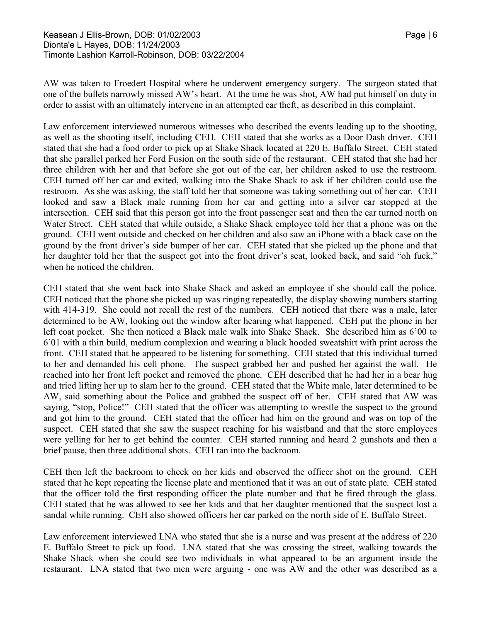AW was taken to Froedert Hospital where he underwent emergency surgery. The surgeon stated that one of the bullets narrowly missed AW's heart. At the time he was shot, AW had put himself on duty in order to assist with an ultimately intervene in an attempted car theft, as described in this complaint.

Law enforcement interviewed numerous witnesses who described the events leading up to the shooting, as well as the shooting itself, including CEH. CEH stated that she works as a Door Dash driver. CEH stated that she had a food order to pick up at Shake Shack located at 220 E. Buffalo Street. CEH stated that she parallel parked her Ford Fusion on the south side of the restaurant. CEH stated that she had her three children with her and that before she got out of the car, her children asked to use the restroom. CEH turned off her car and exited, walking into the Shake Shack to ask if her children could use the restroom. As she was asking, the staff told her that someone was taking something out of her car. CEH looked and saw a Black male running from her car and getting into a silver car stopped at the intersection. CEH said that this person got into the front passenger seat and then the car turned north on Water Street. CEH stated that while outside, a Shake Shack employee told her that a phone was on the ground. CEH went outside and checked on her children and also saw an iPhone with a black case on the ground by the front driver's side bumper of her car. CEH stated that she picked up the phone and that her daughter told her that the suspect got into the front driver's seat, looked back, and said "oh fuck," when he noticed the children.

CEH stated that she went back into Shake Shack and asked an employee if she should call the police. CEH noticed that the phone she picked up was ringing repeatedly, the display showing numbers starting with 414-319. She could not recall the rest of the numbers. CEH noticed that there was a male, later determined to be AW, looking out the window after hearing what happened. CEH put the phone in her left coat pocket. She then noticed a Black male walk into Shake Shack. She described him as 6'00 to 6'01 with a thin build, medium complexion and wearing a black hooded sweatshirt with print across the front. CEH stated that he appeared to be listening for something. CEH stated that this individual turned to her and demanded his cell phone. The suspect grabbed her and pushed her against the wall. He reached into her front left pocket and removed the phone. CEH described that he had her in a bear hug and tried lifting her up to slam her to the ground. CEH stated that the White male, later determined to be AW, said something about the Police and grabbed the suspect off of her. CEH stated that AW was saying, "stop, Police!" CEH stated that the officer was attempting to wrestle the suspect to the ground and got him to the ground. CEH stated that the officer had him on the ground and was on top of the suspect. CEH stated that she saw the suspect reaching for his waistband and that the store employees were yelling for her to get behind the counter. CEH started running and heard 2 gunshots and then a brief pause, then three additional shots. CEH ran into the backroom.

CEH then left the backroom to check on her kids and observed the officer shot on the ground. CEH stated that he kept repeating the license plate and mentioned that it was an out of state plate. CEH stated that the officer told the first responding officer the plate number and that he fired through the glass. CEH stated that he was allowed to see her kids and that her daughter mentioned that the suspect lost a sandal while running. CEH also showed officers her car parked on the north side of E. Buffalo Street.

Law enforcement interviewed LNA who stated that she is a nurse and was present at the address of 220 E. Buffalo Street to pick up food. LNA stated that she was crossing the street, walking towards the Shake Shack when she could see two individuals in what appeared to be an argument inside the restaurant. LNA stated that two men were arguing - one was AW and the other was described as a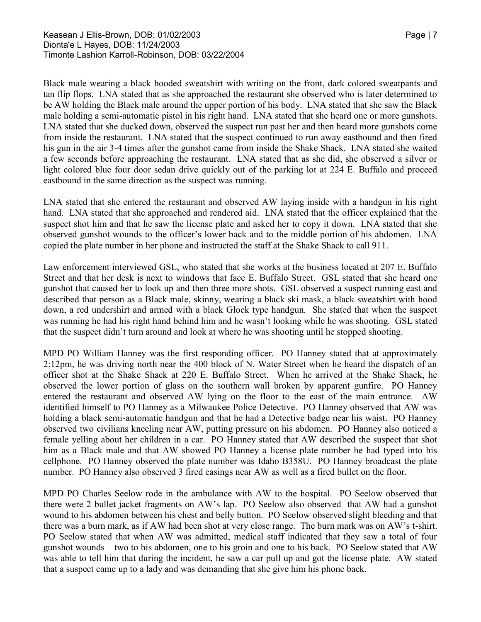Black male wearing a black hooded sweatshirt with writing on the front, dark colored sweatpants and tan flip flops. LNA stated that as she approached the restaurant she observed who is later determined to be AW holding the Black male around the upper portion of his body. LNA stated that she saw the Black male holding a semi-automatic pistol in his right hand. LNA stated that she heard one or more gunshots. LNA stated that she ducked down, observed the suspect run past her and then heard more gunshots come from inside the restaurant. LNA stated that the suspect continued to run away eastbound and then fired his gun in the air 3-4 times after the gunshot came from inside the Shake Shack. LNA stated she waited a few seconds before approaching the restaurant. LNA stated that as she did, she observed a silver or light colored blue four door sedan drive quickly out of the parking lot at 224 E. Buffalo and proceed eastbound in the same direction as the suspect was running.

LNA stated that she entered the restaurant and observed AW laying inside with a handgun in his right hand. LNA stated that she approached and rendered aid. LNA stated that the officer explained that the suspect shot him and that he saw the license plate and asked her to copy it down. LNA stated that she observed gunshot wounds to the officer's lower back and to the middle portion of his abdomen. LNA copied the plate number in her phone and instructed the staff at the Shake Shack to call 911.

Law enforcement interviewed GSL, who stated that she works at the business located at 207 E. Buffalo Street and that her desk is next to windows that face E. Buffalo Street. GSL stated that she heard one gunshot that caused her to look up and then three more shots. GSL observed a suspect running east and described that person as a Black male, skinny, wearing a black ski mask, a black sweatshirt with hood down, a red undershirt and armed with a black Glock type handgun. She stated that when the suspect was running he had his right hand behind him and he wasn't looking while he was shooting. GSL stated that the suspect didn't turn around and look at where he was shooting until he stopped shooting.

MPD PO William Hanney was the first responding officer. PO Hanney stated that at approximately 2:12pm, he was driving north near the 400 block of N. Water Street when he heard the dispatch of an officer shot at the Shake Shack at 220 E. Buffalo Street. When he arrived at the Shake Shack, he observed the lower portion of glass on the southern wall broken by apparent gunfire. PO Hanney entered the restaurant and observed AW lying on the floor to the east of the main entrance. AW identified himself to PO Hanney as a Milwaukee Police Detective. PO Hanney observed that AW was holding a black semi-automatic handgun and that he had a Detective badge near his waist. PO Hanney observed two civilians kneeling near AW, putting pressure on his abdomen. PO Hanney also noticed a female yelling about her children in a car. PO Hanney stated that AW described the suspect that shot him as a Black male and that AW showed PO Hanney a license plate number he had typed into his cellphone. PO Hanney observed the plate number was Idaho B358U. PO Hanney broadcast the plate number. PO Hanney also observed 3 fired casings near AW as well as a fired bullet on the floor.

MPD PO Charles Seelow rode in the ambulance with AW to the hospital. PO Seelow observed that there were 2 bullet jacket fragments on AW's lap. PO Seelow also observed that AW had a gunshot wound to his abdomen between his chest and belly button. PO Seelow observed slight bleeding and that there was a burn mark, as if AW had been shot at very close range. The burn mark was on AW's t-shirt. PO Seelow stated that when AW was admitted, medical staff indicated that they saw a total of four gunshot wounds – two to his abdomen, one to his groin and one to his back. PO Seelow stated that AW was able to tell him that during the incident, he saw a car pull up and got the license plate. AW stated that a suspect came up to a lady and was demanding that she give him his phone back.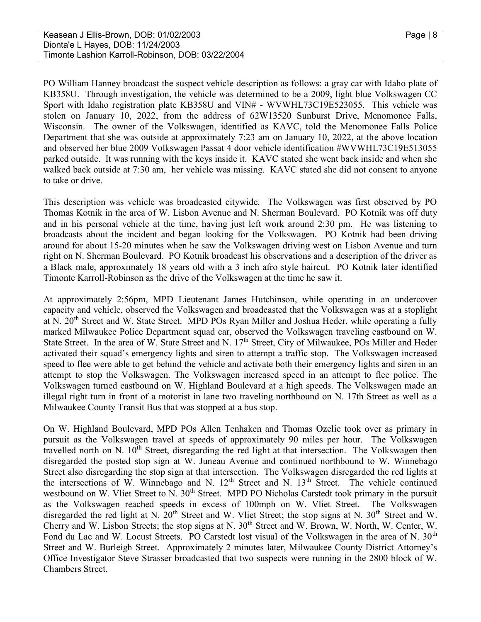PO William Hanney broadcast the suspect vehicle description as follows: a gray car with Idaho plate of KB358U. Through investigation, the vehicle was determined to be a 2009, light blue Volkswagen CC Sport with Idaho registration plate KB358U and VIN# - WVWHL73C19E523055. This vehicle was stolen on January 10, 2022, from the address of 62W13520 Sunburst Drive, Menomonee Falls, Wisconsin. The owner of the Volkswagen, identified as KAVC, told the Menomonee Falls Police Department that she was outside at approximately 7:23 am on January 10, 2022, at the above location and observed her blue 2009 Volkswagen Passat 4 door vehicle identification #WVWHL73C19E513055 parked outside. It was running with the keys inside it. KAVC stated she went back inside and when she walked back outside at 7:30 am, her vehicle was missing. KAVC stated she did not consent to anyone to take or drive.

This description was vehicle was broadcasted citywide. The Volkswagen was first observed by PO Thomas Kotnik in the area of W. Lisbon Avenue and N. Sherman Boulevard. PO Kotnik was off duty and in his personal vehicle at the time, having just left work around 2:30 pm. He was listening to broadcasts about the incident and began looking for the Volkswagen. PO Kotnik had been driving around for about 15-20 minutes when he saw the Volkswagen driving west on Lisbon Avenue and turn right on N. Sherman Boulevard. PO Kotnik broadcast his observations and a description of the driver as a Black male, approximately 18 years old with a 3 inch afro style haircut. PO Kotnik later identified Timonte Karroll-Robinson as the drive of the Volkswagen at the time he saw it.

At approximately 2:56pm, MPD Lieutenant James Hutchinson, while operating in an undercover capacity and vehicle, observed the Volkswagen and broadcasted that the Volkswagen was at a stoplight at N. 20<sup>th</sup> Street and W. State Street. MPD POs Ryan Miller and Joshua Heder, while operating a fully marked Milwaukee Police Department squad car, observed the Volkswagen traveling eastbound on W. State Street. In the area of W. State Street and N. 17<sup>th</sup> Street, City of Milwaukee, POs Miller and Heder activated their squad's emergency lights and siren to attempt a traffic stop. The Volkswagen increased speed to flee were able to get behind the vehicle and activate both their emergency lights and siren in an attempt to stop the Volkswagen. The Volkswagen increased speed in an attempt to flee police. The Volkswagen turned eastbound on W. Highland Boulevard at a high speeds. The Volkswagen made an illegal right turn in front of a motorist in lane two traveling northbound on N. 17th Street as well as a Milwaukee County Transit Bus that was stopped at a bus stop.

On W. Highland Boulevard, MPD POs Allen Tenhaken and Thomas Ozelie took over as primary in pursuit as the Volkswagen travel at speeds of approximately 90 miles per hour. The Volkswagen travelled north on N. 10<sup>th</sup> Street, disregarding the red light at that intersection. The Volkswagen then disregarded the posted stop sign at W. Juneau Avenue and continued northbound to W. Winnebago Street also disregarding the stop sign at that intersection. The Volkswagen disregarded the red lights at the intersections of W. Winnebago and N.  $12<sup>th</sup>$  Street and N.  $13<sup>th</sup>$  Street. The vehicle continued westbound on W. Vliet Street to N. 30<sup>th</sup> Street. MPD PO Nicholas Carstedt took primary in the pursuit as the Volkswagen reached speeds in excess of 100mph on W. Vliet Street. The Volkswagen disregarded the red light at N.  $20<sup>th</sup>$  Street and W. Vliet Street; the stop signs at N.  $30<sup>th</sup>$  Street and W. Cherry and W. Lisbon Streets; the stop signs at N. 30<sup>th</sup> Street and W. Brown, W. North, W. Center, W. Fond du Lac and W. Locust Streets. PO Carstedt lost visual of the Volkswagen in the area of N. 30<sup>th</sup> Street and W. Burleigh Street. Approximately 2 minutes later, Milwaukee County District Attorney's Office Investigator Steve Strasser broadcasted that two suspects were running in the 2800 block of W. Chambers Street.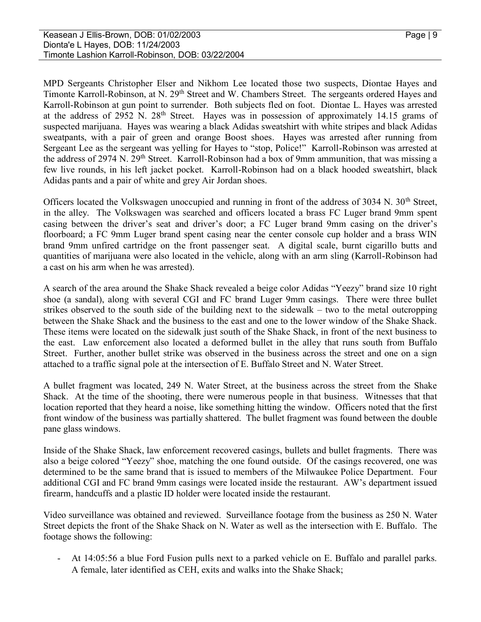MPD Sergeants Christopher Elser and Nikhom Lee located those two suspects, Diontae Hayes and Timonte Karroll-Robinson, at N. 29<sup>th</sup> Street and W. Chambers Street. The sergeants ordered Hayes and Karroll-Robinson at gun point to surrender. Both subjects fled on foot. Diontae L. Hayes was arrested at the address of 2952 N. 28<sup>th</sup> Street. Hayes was in possession of approximately 14.15 grams of suspected marijuana. Hayes was wearing a black Adidas sweatshirt with white stripes and black Adidas sweatpants, with a pair of green and orange Boost shoes. Hayes was arrested after running from Sergeant Lee as the sergeant was yelling for Hayes to "stop, Police!" Karroll-Robinson was arrested at the address of 2974 N. 29<sup>th</sup> Street. Karroll-Robinson had a box of 9mm ammunition, that was missing a few live rounds, in his left jacket pocket. Karroll-Robinson had on a black hooded sweatshirt, black Adidas pants and a pair of white and grey Air Jordan shoes.

Officers located the Volkswagen unoccupied and running in front of the address of 3034 N. 30<sup>th</sup> Street, in the alley. The Volkswagen was searched and officers located a brass FC Luger brand 9mm spent casing between the driver's seat and driver's door; a FC Luger brand 9mm casing on the driver's floorboard; a FC 9mm Luger brand spent casing near the center console cup holder and a brass WIN brand 9mm unfired cartridge on the front passenger seat. A digital scale, burnt cigarillo butts and quantities of marijuana were also located in the vehicle, along with an arm sling (Karroll-Robinson had a cast on his arm when he was arrested).

A search of the area around the Shake Shack revealed a beige color Adidas "Yeezy" brand size 10 right shoe (a sandal), along with several CGI and FC brand Luger 9mm casings. There were three bullet strikes observed to the south side of the building next to the sidewalk – two to the metal outcropping between the Shake Shack and the business to the east and one to the lower window of the Shake Shack. These items were located on the sidewalk just south of the Shake Shack, in front of the next business to the east. Law enforcement also located a deformed bullet in the alley that runs south from Buffalo Street. Further, another bullet strike was observed in the business across the street and one on a sign attached to a traffic signal pole at the intersection of E. Buffalo Street and N. Water Street.

A bullet fragment was located, 249 N. Water Street, at the business across the street from the Shake Shack. At the time of the shooting, there were numerous people in that business. Witnesses that that location reported that they heard a noise, like something hitting the window. Officers noted that the first front window of the business was partially shattered. The bullet fragment was found between the double pane glass windows.

Inside of the Shake Shack, law enforcement recovered casings, bullets and bullet fragments. There was also a beige colored "Yeezy" shoe, matching the one found outside. Of the casings recovered, one was determined to be the same brand that is issued to members of the Milwaukee Police Department. Four additional CGI and FC brand 9mm casings were located inside the restaurant. AW's department issued firearm, handcuffs and a plastic ID holder were located inside the restaurant.

Video surveillance was obtained and reviewed. Surveillance footage from the business as 250 N. Water Street depicts the front of the Shake Shack on N. Water as well as the intersection with E. Buffalo. The footage shows the following:<br>- At 14:05:56 a blue Ford Fusion pulls next to a parked vehicle on E. Buffalo and parallel parks.

A female, later identified as CEH, exits and walks into the Shake Shack;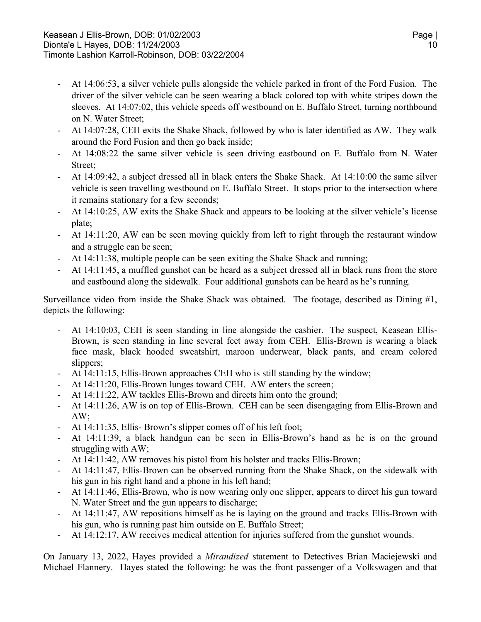- At 14:06:53, a silver vehicle pulls alongside the vehicle parked in front of the Ford Fusion. The driver of the silver vehicle can be seen wearing a black colored top with white stripes down the sleeves. At 14:07:02, this vehicle speeds off westbound on E. Buffalo Street, turning northbound on N. Water Street;<br>- At 14:07:28, CEH exits the Shake Shack, followed by who is later identified as AW. They walk
- around the Ford Fusion and then go back inside;<br>- At 14:08:22 the same silver vehicle is seen driving eastbound on E. Buffalo from N. Water
- 
- Street;<br>
 At 14:09:42, a subject dressed all in black enters the Shake Shack. At 14:10:00 the same silver vehicle is seen travelling westbound on E. Buffalo Street. It stops prior to the intersection where
- it remains stationary for a few seconds;<br>- At 14:10:25, AW exits the Shake Shack and appears to be looking at the silver vehicle's license
- plate;<br>- At 14:11:20, AW can be seen moving quickly from left to right through the restaurant window and a struggle can be seen;<br>- At 14:11:38, multiple people can be seen exiting the Shake Shack and running;<br>- At 14:11:45, a muffled gunshot can be heard as a subject dressed all in black runs from the store
- 
- and eastbound along the sidewalk. Four additional gunshots can be heard as he's running.

Surveillance video from inside the Shake Shack was obtained. The footage, described as Dining #1, depicts the following:<br>- At 14:10:03, CEH is seen standing in line alongside the cashier. The suspect, Keasean Ellis-

- Brown, is seen standing in line several feet away from CEH. Ellis-Brown is wearing a black face mask, black hooded sweatshirt, maroon underwear, black pants, and cream colored
- 
- 
- 
- slippers;<br>
At 14:11:15, Ellis-Brown approaches CEH who is still standing by the window;<br>
At 14:11:20, Ellis-Brown lunges toward CEH. AW enters the screen;<br>
At 14:11:22, AW tackles Ellis-Brown and directs him onto the groun
- AW;<br>At 14:11:35, Ellis- Brown's slipper comes off of his left foot;
- At 14:11:39, a black handgun can be seen in Ellis-Brown's hand as he is on the ground struggling with AW;<br>At 14:11:42, AW removes his pistol from his holster and tracks Ellis-Brown;<br>At 14:11:47, Ellis-Brown can be observed running from the Shake Shack, on the sidewalk with
- 
- 
- his gun in his right hand and a phone in his left hand;<br>- At 14:11:46, Ellis-Brown, who is now wearing only one slipper, appears to direct his gun toward
- N. Water Street and the gun appears to discharge;<br>At 14:11:47, AW repositions himself as he is laying on the ground and tracks Ellis-Brown with his gun, who is running past him outside on E. Buffalo Street;<br>- At 14:12:17, AW receives medical attention for injuries suffered from the gunshot wounds.
- 

On January 13, 2022, Hayes provided a Mirandized statement to Detectives Brian Maciejewski and Michael Flannery. Hayes stated the following: he was the front passenger of a Volkswagen and that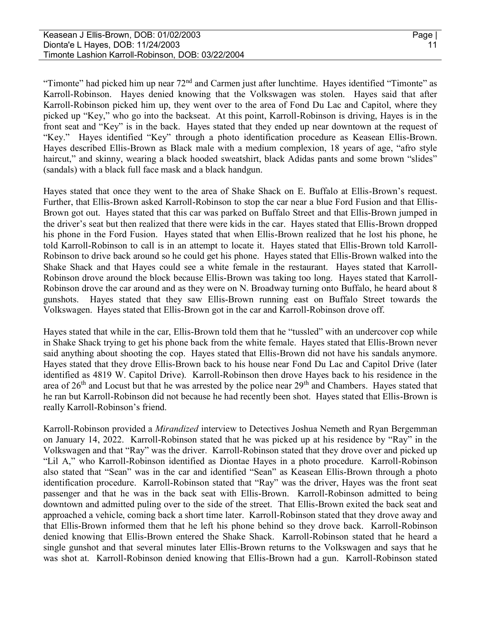"Timonte" had picked him up near 72<sup>nd</sup> and Carmen just after lunchtime. Hayes identified "Timonte" as Karroll-Robinson. Hayes denied knowing that the Volkswagen was stolen. Hayes said that after Karroll-Robinson picked him up, they went over to the area of Fond Du Lac and Capitol, where they picked up "Key," who go into the backseat. At this point, Karroll-Robinson is driving, Hayes is in the front seat and "Key" is in the back. Hayes stated that they ended up near downtown at the request of "Key." Hayes identified "Key" through a photo identification procedure as Keasean Ellis-Brown. Hayes described Ellis-Brown as Black male with a medium complexion, 18 years of age, "afro style haircut," and skinny, wearing a black hooded sweatshirt, black Adidas pants and some brown "slides" (sandals) with a black full face mask and a black handgun.

Hayes stated that once they went to the area of Shake Shack on E. Buffalo at Ellis-Brown's request. Further, that Ellis-Brown asked Karroll-Robinson to stop the car near a blue Ford Fusion and that Ellis-Brown got out. Hayes stated that this car was parked on Buffalo Street and that Ellis-Brown jumped in the driver's seat but then realized that there were kids in the car. Hayes stated that Ellis-Brown dropped his phone in the Ford Fusion. Hayes stated that when Ellis-Brown realized that he lost his phone, he told Karroll-Robinson to call is in an attempt to locate it. Hayes stated that Ellis-Brown told Karroll-Robinson to drive back around so he could get his phone. Hayes stated that Ellis-Brown walked into the Shake Shack and that Hayes could see a white female in the restaurant. Hayes stated that Karroll-Robinson drove around the block because Ellis-Brown was taking too long. Hayes stated that Karroll-Robinson drove the car around and as they were on N. Broadway turning onto Buffalo, he heard about 8 gunshots. Hayes stated that they saw Ellis-Brown running east on Buffalo Street towards the Volkswagen. Hayes stated that Ellis-Brown got in the car and Karroll-Robinson drove off.

Hayes stated that while in the car, Ellis-Brown told them that he "tussled" with an undercover cop while in Shake Shack trying to get his phone back from the white female. Hayes stated that Ellis-Brown never said anything about shooting the cop. Hayes stated that Ellis-Brown did not have his sandals anymore. Hayes stated that they drove Ellis-Brown back to his house near Fond Du Lac and Capitol Drive (later identified as 4819 W. Capitol Drive). Karroll-Robinson then drove Hayes back to his residence in the area of  $26<sup>th</sup>$  and Locust but that he was arrested by the police near  $29<sup>th</sup>$  and Chambers. Hayes stated that he ran but Karroll-Robinson did not because he had recently been shot. Hayes stated that Ellis-Brown is really Karroll-Robinson's friend.

Karroll-Robinson provided a *Mirandized* interview to Detectives Joshua Nemeth and Ryan Bergemman on January 14, 2022. Karroll-Robinson stated that he was picked up at his residence by "Ray" in the Volkswagen and that "Ray" was the driver. Karroll-Robinson stated that they drove over and picked up "Lil A," who Karroll-Robinson identified as Diontae Hayes in a photo procedure. Karroll-Robinson also stated that "Sean" was in the car and identified "Sean" as Keasean Ellis-Brown through a photo identification procedure. Karroll-Robinson stated that "Ray" was the driver, Hayes was the front seat passenger and that he was in the back seat with Ellis-Brown. Karroll-Robinson admitted to being downtown and admitted puling over to the side of the street. That Ellis-Brown exited the back seat and approached a vehicle, coming back a short time later. Karroll-Robinson stated that they drove away and that Ellis-Brown informed them that he left his phone behind so they drove back. Karroll-Robinson denied knowing that Ellis-Brown entered the Shake Shack. Karroll-Robinson stated that he heard a single gunshot and that several minutes later Ellis-Brown returns to the Volkswagen and says that he was shot at. Karroll-Robinson denied knowing that Ellis-Brown had a gun. Karroll-Robinson stated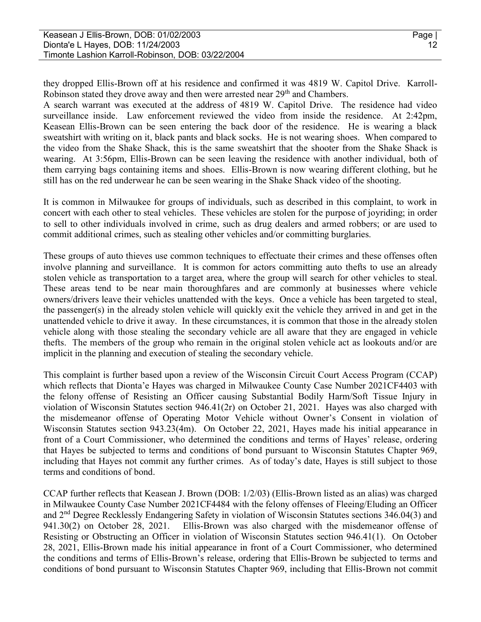they dropped Ellis-Brown off at his residence and confirmed it was 4819 W. Capitol Drive. Karroll-Robinson stated they drove away and then were arrested near 29<sup>th</sup> and Chambers.

A search warrant was executed at the address of 4819 W. Capitol Drive. The residence had video surveillance inside. Law enforcement reviewed the video from inside the residence. At 2:42pm, Keasean Ellis-Brown can be seen entering the back door of the residence. He is wearing a black sweatshirt with writing on it, black pants and black socks. He is not wearing shoes. When compared to the video from the Shake Shack, this is the same sweatshirt that the shooter from the Shake Shack is wearing. At 3:56pm, Ellis-Brown can be seen leaving the residence with another individual, both of them carrying bags containing items and shoes. Ellis-Brown is now wearing different clothing, but he still has on the red underwear he can be seen wearing in the Shake Shack video of the shooting.

It is common in Milwaukee for groups of individuals, such as described in this complaint, to work in concert with each other to steal vehicles. These vehicles are stolen for the purpose of joyriding; in order to sell to other individuals involved in crime, such as drug dealers and armed robbers; or are used to commit additional crimes, such as stealing other vehicles and/or committing burglaries.

These groups of auto thieves use common techniques to effectuate their crimes and these offenses often involve planning and surveillance. It is common for actors committing auto thefts to use an already stolen vehicle as transportation to a target area, where the group will search for other vehicles to steal. These areas tend to be near main thoroughfares and are commonly at businesses where vehicle owners/drivers leave their vehicles unattended with the keys. Once a vehicle has been targeted to steal, the passenger(s) in the already stolen vehicle will quickly exit the vehicle they arrived in and get in the unattended vehicle to drive it away. In these circumstances, it is common that those in the already stolen vehicle along with those stealing the secondary vehicle are all aware that they are engaged in vehicle thefts. The members of the group who remain in the original stolen vehicle act as lookouts and/or are implicit in the planning and execution of stealing the secondary vehicle.

This complaint is further based upon a review of the Wisconsin Circuit Court Access Program (CCAP) which reflects that Dionta'e Hayes was charged in Milwaukee County Case Number 2021CF4403 with the felony offense of Resisting an Officer causing Substantial Bodily Harm/Soft Tissue Injury in violation of Wisconsin Statutes section 946.41(2r) on October 21, 2021. Hayes was also charged with the misdemeanor offense of Operating Motor Vehicle without Owner's Consent in violation of Wisconsin Statutes section 943.23(4m). On October 22, 2021, Hayes made his initial appearance in front of a Court Commissioner, who determined the conditions and terms of Hayes' release, ordering that Hayes be subjected to terms and conditions of bond pursuant to Wisconsin Statutes Chapter 969, including that Hayes not commit any further crimes. As of today's date, Hayes is still subject to those terms and conditions of bond.

CCAP further reflects that Keasean J. Brown (DOB: 1/2/03) (Ellis-Brown listed as an alias) was charged in Milwaukee County Case Number 2021CF4484 with the felony offenses of Fleeing/Eluding an Officer and 2nd Degree Recklessly Endangering Safety in violation of Wisconsin Statutes sections 346.04(3) and 941.30(2) on October 28, 2021. Ellis-Brown was also charged with the misdemeanor offense of Resisting or Obstructing an Officer in violation of Wisconsin Statutes section 946.41(1). On October 28, 2021, Ellis-Brown made his initial appearance in front of a Court Commissioner, who determined the conditions and terms of Ellis-Brown's release, ordering that Ellis-Brown be subjected to terms and conditions of bond pursuant to Wisconsin Statutes Chapter 969, including that Ellis-Brown not commit